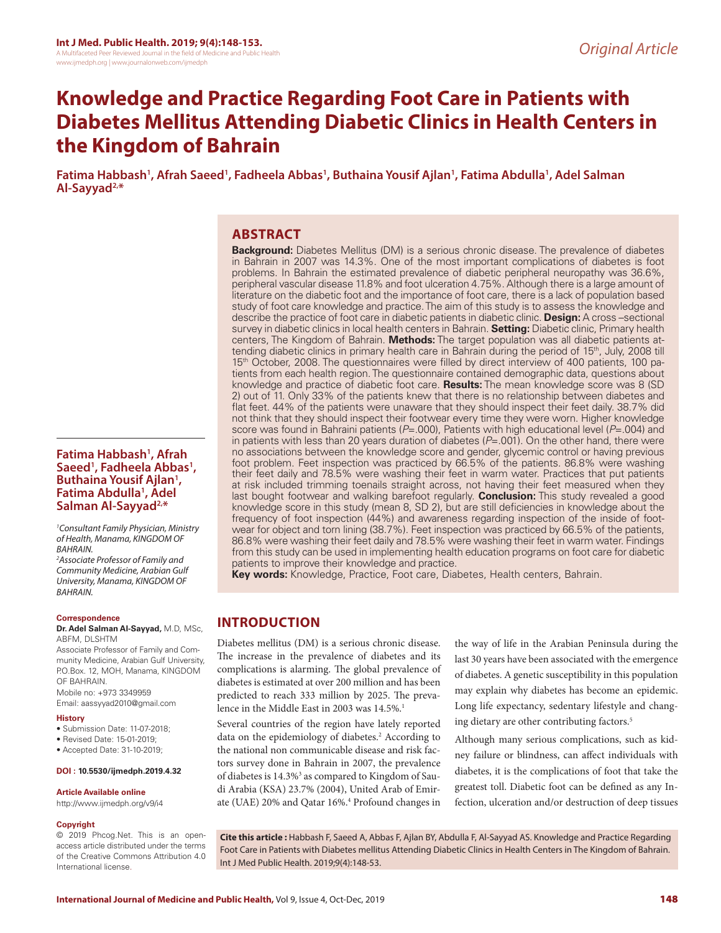# **Knowledge and Practice Regarding Foot Care in Patients with Diabetes Mellitus Attending Diabetic Clinics in Health Centers in the Kingdom of Bahrain**

**Fatima Habbash1 , Afrah Saeed1 , Fadheela Abbas1 , Buthaina Yousif Ajlan1 , Fatima Abdulla1 , Adel Salman Al-Sayyad2,\***

### **ABSTRACT**

**Background:** Diabetes Mellitus (DM) is a serious chronic disease. The prevalence of diabetes in Bahrain in 2007 was 14.3%. One of the most important complications of diabetes is foot problems. In Bahrain the estimated prevalence of diabetic peripheral neuropathy was 36.6%, peripheral vascular disease 11.8% and foot ulceration 4.75%. Although there is a large amount of literature on the diabetic foot and the importance of foot care, there is a lack of population based study of foot care knowledge and practice. The aim of this study is to assess the knowledge and describe the practice of foot care in diabetic patients in diabetic clinic. **Design:** A cross –sectional survey in diabetic clinics in local health centers in Bahrain. **Setting:** Diabetic clinic, Primary health centers, The Kingdom of Bahrain. **Methods:** The target population was all diabetic patients attending diabetic clinics in primary health care in Bahrain during the period of 15<sup>th</sup>, July, 2008 till 15<sup>th</sup> October, 2008. The questionnaires were filled by direct interview of 400 patients, 100 patients from each health region. The questionnaire contained demographic data, questions about knowledge and practice of diabetic foot care. **Results:** The mean knowledge score was 8 (SD 2) out of 11. Only 33% of the patients knew that there is no relationship between diabetes and flat feet. 44% of the patients were unaware that they should inspect their feet daily. 38.7% did not think that they should inspect their footwear every time they were worn. Higher knowledge score was found in Bahraini patients (*P*=.000), Patients with high educational level (*P*=.004) and in patients with less than 20 years duration of diabetes (*P*=.001). On the other hand, there were no associations between the knowledge score and gender, glycemic control or having previous foot problem. Feet inspection was practiced by 66.5% of the patients. 86.8% were washing their feet daily and 78.5% were washing their feet in warm water. Practices that put patients at risk included trimming toenails straight across, not having their feet measured when they last bought footwear and walking barefoot regularly. **Conclusion:** This study revealed a good knowledge score in this study (mean 8, SD 2), but are still deficiencies in knowledge about the frequency of foot inspection (44%) and awareness regarding inspection of the inside of footwear for object and torn lining (38.7%). Feet inspection was practiced by 66.5% of the patients, 86.8% were washing their feet daily and 78.5% were washing their feet in warm water. Findings from this study can be used in implementing health education programs on foot care for diabetic patients to improve their knowledge and practice.

**Key words:** Knowledge, Practice, Foot care, Diabetes, Health centers, Bahrain.

# **INTRODUCTION**

Diabetes mellitus (DM) is a serious chronic disease. The increase in the prevalence of diabetes and its complications is alarming. The global prevalence of diabetes is estimated at over 200 million and has been predicted to reach 333 million by 2025. The prevalence in the Middle East in 2003 was 14.5%.<sup>1</sup>

Several countries of the region have lately reported data on the epidemiology of diabetes.<sup>2</sup> According to the national non communicable disease and risk factors survey done in Bahrain in 2007, the prevalence of diabetes is 14.3%<sup>3</sup> as compared to Kingdom of Saudi Arabia (KSA) 23.7% (2004), United Arab of Emirate (UAE) 20% and Qatar 16%.<sup>4</sup> Profound changes in

the way of life in the Arabian Peninsula during the last 30 years have been associated with the emergence of diabetes. A genetic susceptibility in this population may explain why diabetes has become an epidemic. Long life expectancy, sedentary lifestyle and changing dietary are other contributing factors.<sup>5</sup>

Although many serious complications, such as kidney failure or blindness, can affect individuals with diabetes, it is the complications of foot that take the greatest toll. Diabetic foot can be defined as any Infection, ulceration and/or destruction of deep tissues

**Cite this article :** Habbash F, Saeed A, Abbas F, Ajlan BY, Abdulla F, Al-Sayyad AS. Knowledge and Practice Regarding Foot Care in Patients with Diabetes mellitus Attending Diabetic Clinics in Health Centers in The Kingdom of Bahrain. Int J Med Public Health. 2019;9(4):148-53.

### **Fatima Habbash1 , Afrah**  Saeed<sup>1</sup>, Fadheela Abbas<sup>1</sup>,<br>Buthaina Yousif Ajlan<sup>1</sup>, **Buthaina Yousif Ajlan<sup>1</sup>,** Fatima Abdulla<sup>1</sup>, Adel **Salman Al-Sayyad2,\***

*1 Consultant Family Physician, Ministry of Health, Manama, KINGDOM OF BAHRAIN.*

*2 Associate Professor of Family and Community Medicine, Arabian Gulf University, Manama, KINGDOM OF BAHRAIN.*

#### **Correspondence**

**Dr. Adel Salman Al-Sayyad,** M.D, MSc, ABFM, DLSHTM

Associate Professor of Family and Community Medicine, Arabian Gulf University, P.O.Box. 12, MOH, Manama, KINGDOM OF BAHRAIN.

Mobile no: +973 3349959 Email: aassyyad2010@gmail.com

#### **History**

• Submission Date: 11-07-2018;

- Revised Date: 15-01-2019;
- Accepted Date: 31-10-2019;

**DOI : 10.5530/ijmedph.2019.4.32**

#### **Article Available online**

http://www.ijmedph.org/v9/i4

#### **Copyright**

© 2019 Phcog.Net. This is an openaccess article distributed under the terms of the Creative Commons Attribution 4.0 International license.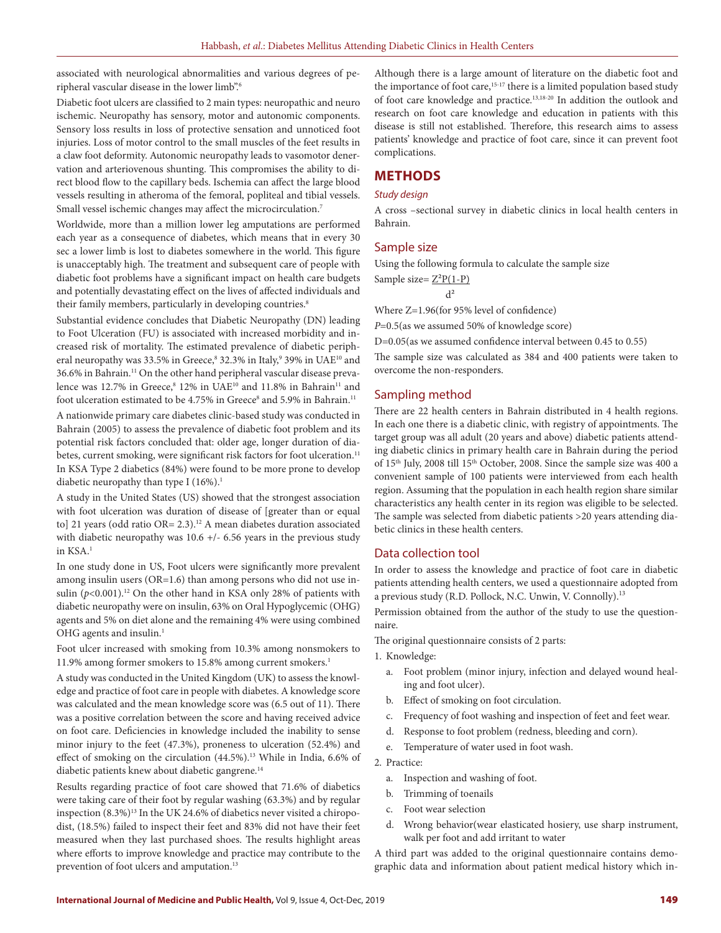associated with neurological abnormalities and various degrees of peripheral vascular disease in the lower limb".6

Diabetic foot ulcers are classified to 2 main types: neuropathic and neuro ischemic. Neuropathy has sensory, motor and autonomic components. Sensory loss results in loss of protective sensation and unnoticed foot injuries. Loss of motor control to the small muscles of the feet results in a claw foot deformity. Autonomic neuropathy leads to vasomotor denervation and arteriovenous shunting. This compromises the ability to direct blood flow to the capillary beds. Ischemia can affect the large blood vessels resulting in atheroma of the femoral, popliteal and tibial vessels. Small vessel ischemic changes may affect the microcirculation.<sup>7</sup>

Worldwide, more than a million lower leg amputations are performed each year as a consequence of diabetes, which means that in every 30 sec a lower limb is lost to diabetes somewhere in the world. This figure is unacceptably high. The treatment and subsequent care of people with diabetic foot problems have a significant impact on health care budgets and potentially devastating effect on the lives of affected individuals and their family members, particularly in developing countries.<sup>8</sup>

Substantial evidence concludes that Diabetic Neuropathy (DN) leading to Foot Ulceration (FU) is associated with increased morbidity and increased risk of mortality. The estimated prevalence of diabetic peripheral neuropathy was 33.5% in Greece,<sup>8</sup> 32.3% in Italy,<sup>9</sup> 39% in UAE<sup>10</sup> and 36.6% in Bahrain.11 On the other hand peripheral vascular disease prevalence was 12.7% in Greece, $8\,12\%$  in UAE<sup>10</sup> and 11.8% in Bahrain<sup>11</sup> and foot ulceration estimated to be 4.75% in Greece<sup>8</sup> and 5.9% in Bahrain.<sup>11</sup>

A nationwide primary care diabetes clinic-based study was conducted in Bahrain (2005) to assess the prevalence of diabetic foot problem and its potential risk factors concluded that: older age, longer duration of diabetes, current smoking, were significant risk factors for foot ulceration.<sup>11</sup> In KSA Type 2 diabetics (84%) were found to be more prone to develop diabetic neuropathy than type I  $(16\%)$ .<sup>1</sup>

A study in the United States (US) showed that the strongest association with foot ulceration was duration of disease of [greater than or equal to] 21 years (odd ratio OR= 2.3).<sup>12</sup> A mean diabetes duration associated with diabetic neuropathy was 10.6 +/- 6.56 years in the previous study in KSA.<sup>1</sup>

In one study done in US, Foot ulcers were significantly more prevalent among insulin users (OR=1.6) than among persons who did not use insulin  $(p<0.001)$ .<sup>12</sup> On the other hand in KSA only 28% of patients with diabetic neuropathy were on insulin, 63% on Oral Hypoglycemic (OHG) agents and 5% on diet alone and the remaining 4% were using combined OHG agents and insulin.<sup>1</sup>

Foot ulcer increased with smoking from 10.3% among nonsmokers to 11.9% among former smokers to 15.8% among current smokers.<sup>1</sup>

A study was conducted in the United Kingdom (UK) to assess the knowledge and practice of foot care in people with diabetes. A knowledge score was calculated and the mean knowledge score was (6.5 out of 11). There was a positive correlation between the score and having received advice on foot care. Deficiencies in knowledge included the inability to sense minor injury to the feet (47.3%), proneness to ulceration (52.4%) and effect of smoking on the circulation (44.5%).<sup>13</sup> While in India, 6.6% of diabetic patients knew about diabetic gangrene.<sup>14</sup>

Results regarding practice of foot care showed that 71.6% of diabetics were taking care of their foot by regular washing (63.3%) and by regular inspection  $(8.3\%)^{13}$  In the UK 24.6% of diabetics never visited a chiropodist, (18.5%) failed to inspect their feet and 83% did not have their feet measured when they last purchased shoes. The results highlight areas where efforts to improve knowledge and practice may contribute to the prevention of foot ulcers and amputation.<sup>13</sup>

Although there is a large amount of literature on the diabetic foot and the importance of foot care,<sup>15-17</sup> there is a limited population based study of foot care knowledge and practice.13,18-20 In addition the outlook and research on foot care knowledge and education in patients with this disease is still not established. Therefore, this research aims to assess patients' knowledge and practice of foot care, since it can prevent foot complications.

#### **METHODS**

#### *Study design*

A cross –sectional survey in diabetic clinics in local health centers in Bahrain.

#### Sample size

Using the following formula to calculate the sample size Sample size= $Z^2P(1-P)$ 

$$
d^2 \\
$$

Where Z=1.96(for 95% level of confidence)

*P*=0.5(as we assumed 50% of knowledge score)

D=0.05(as we assumed confidence interval between 0.45 to 0.55)

The sample size was calculated as 384 and 400 patients were taken to overcome the non-responders.

#### Sampling method

There are 22 health centers in Bahrain distributed in 4 health regions. In each one there is a diabetic clinic, with registry of appointments. The target group was all adult (20 years and above) diabetic patients attending diabetic clinics in primary health care in Bahrain during the period of 15<sup>th</sup> July, 2008 till 15<sup>th</sup> October, 2008. Since the sample size was 400 a convenient sample of 100 patients were interviewed from each health region. Assuming that the population in each health region share similar characteristics any health center in its region was eligible to be selected. The sample was selected from diabetic patients >20 years attending diabetic clinics in these health centers.

#### Data collection tool

In order to assess the knowledge and practice of foot care in diabetic patients attending health centers, we used a questionnaire adopted from a previous study (R.D. Pollock, N.C. Unwin, V. Connolly).<sup>13</sup>

Permission obtained from the author of the study to use the questionnaire.

The original questionnaire consists of 2 parts:

1. Knowledge:

- a. Foot problem (minor injury, infection and delayed wound healing and foot ulcer).
- b. Effect of smoking on foot circulation.
- c. Frequency of foot washing and inspection of feet and feet wear.
- d. Response to foot problem (redness, bleeding and corn).
- e. Temperature of water used in foot wash.

#### 2. Practice:

- a. Inspection and washing of foot.
- b. Trimming of toenails
- c. Foot wear selection
- d. Wrong behavior(wear elasticated hosiery, use sharp instrument, walk per foot and add irritant to water

A third part was added to the original questionnaire contains demographic data and information about patient medical history which in-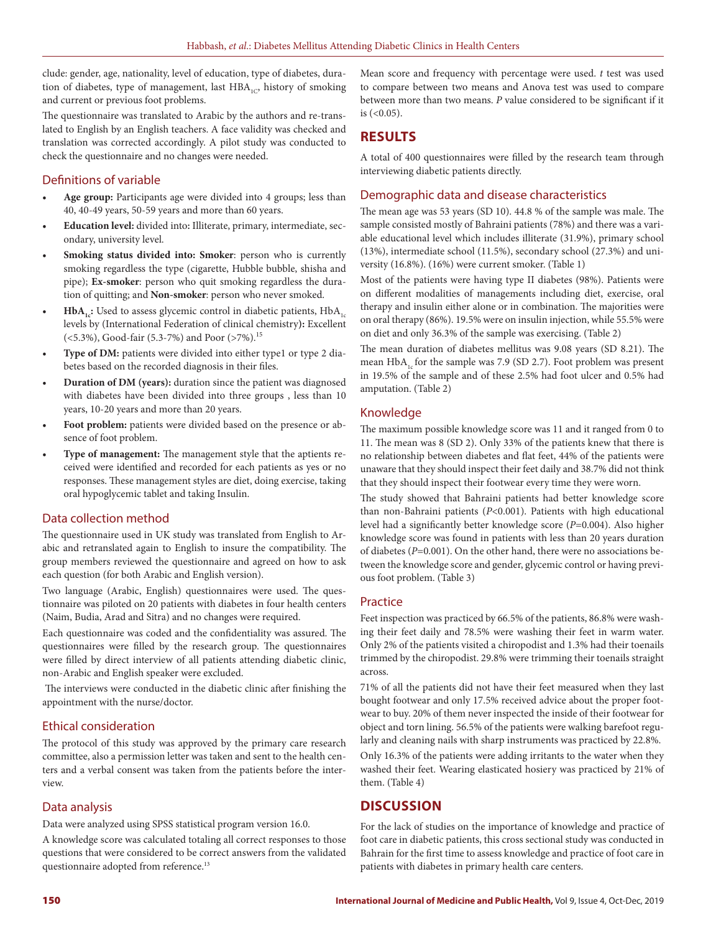clude: gender, age, nationality, level of education, type of diabetes, duration of diabetes, type of management, last  $HBA_{1C}$ , history of smoking and current or previous foot problems.

The questionnaire was translated to Arabic by the authors and re-translated to English by an English teachers. A face validity was checked and translation was corrected accordingly. A pilot study was conducted to check the questionnaire and no changes were needed.

### Definitions of variable

- **• Age group:** Participants age were divided into 4 groups; less than 40, 40-49 years, 50-59 years and more than 60 years.
- **• Education level:** divided into**:** Illiterate, primary, intermediate, secondary, university level.
- **• Smoking status divided into: Smoker**: person who is currently smoking regardless the type (cigarette, Hubble bubble, shisha and pipe); **Ex-smoker**: person who quit smoking regardless the duration of quitting; and **Non-smoker**: person who never smoked.
- $HbA_{1c}:$  Used to assess glycemic control in diabetic patients,  $HbA_{1c}$ levels by (International Federation of clinical chemistry**):** Excellent (<5.3%), Good-fair (5.3-7%) and Poor (>7%).15
- **• Type of DM:** patients were divided into either type1 or type 2 diabetes based on the recorded diagnosis in their files.
- **• Duration of DM (years):** duration since the patient was diagnosed with diabetes have been divided into three groups , less than 10 years, 10-20 years and more than 20 years.
- **• Foot problem:** patients were divided based on the presence or absence of foot problem.
- **• Type of management:** The management style that the aptients received were identified and recorded for each patients as yes or no responses. These management styles are diet, doing exercise, taking oral hypoglycemic tablet and taking Insulin.

### Data collection method

The questionnaire used in UK study was translated from English to Arabic and retranslated again to English to insure the compatibility. The group members reviewed the questionnaire and agreed on how to ask each question (for both Arabic and English version).

Two language (Arabic, English) questionnaires were used. The questionnaire was piloted on 20 patients with diabetes in four health centers (Naim, Budia, Arad and Sitra) and no changes were required.

Each questionnaire was coded and the confidentiality was assured. The questionnaires were filled by the research group. The questionnaires were filled by direct interview of all patients attending diabetic clinic, non-Arabic and English speaker were excluded.

 The interviews were conducted in the diabetic clinic after finishing the appointment with the nurse/doctor.

### Ethical consideration

The protocol of this study was approved by the primary care research committee, also a permission letter was taken and sent to the health centers and a verbal consent was taken from the patients before the interview.

### Data analysis

Data were analyzed using SPSS statistical program version 16.0.

A knowledge score was calculated totaling all correct responses to those questions that were considered to be correct answers from the validated questionnaire adopted from reference.<sup>13</sup>

Mean score and frequency with percentage were used. *t* test was used to compare between two means and Anova test was used to compare between more than two means. *P* value considered to be significant if it is (<0.05).

# **RESULTS**

A total of 400 questionnaires were filled by the research team through interviewing diabetic patients directly.

### Demographic data and disease characteristics

The mean age was 53 years (SD 10). 44.8 % of the sample was male. The sample consisted mostly of Bahraini patients (78%) and there was a variable educational level which includes illiterate (31.9%), primary school (13%), intermediate school (11.5%), secondary school (27.3%) and university (16.8%). (16%) were current smoker. (Table 1)

Most of the patients were having type II diabetes (98%). Patients were on different modalities of managements including diet, exercise, oral therapy and insulin either alone or in combination. The majorities were on oral therapy (86%). 19.5% were on insulin injection, while 55.5% were on diet and only 36.3% of the sample was exercising. (Table 2)

The mean duration of diabetes mellitus was 9.08 years (SD 8.21). The mean  $HbA<sub>1c</sub>$  for the sample was 7.9 (SD 2.7). Foot problem was present in 19.5% of the sample and of these 2.5% had foot ulcer and 0.5% had amputation. (Table 2)

### Knowledge

The maximum possible knowledge score was 11 and it ranged from 0 to 11. The mean was 8 (SD 2). Only 33% of the patients knew that there is no relationship between diabetes and flat feet, 44% of the patients were unaware that they should inspect their feet daily and 38.7% did not think that they should inspect their footwear every time they were worn.

The study showed that Bahraini patients had better knowledge score than non-Bahraini patients (*P*<0.001). Patients with high educational level had a significantly better knowledge score (*P*=0.004). Also higher knowledge score was found in patients with less than 20 years duration of diabetes (*P*=0.001). On the other hand, there were no associations between the knowledge score and gender, glycemic control or having previous foot problem. (Table 3)

### Practice

Feet inspection was practiced by 66.5% of the patients, 86.8% were washing their feet daily and 78.5% were washing their feet in warm water. Only 2% of the patients visited a chiropodist and 1.3% had their toenails trimmed by the chiropodist. 29.8% were trimming their toenails straight across.

71% of all the patients did not have their feet measured when they last bought footwear and only 17.5% received advice about the proper footwear to buy. 20% of them never inspected the inside of their footwear for object and torn lining. 56.5% of the patients were walking barefoot regularly and cleaning nails with sharp instruments was practiced by 22.8%.

Only 16.3% of the patients were adding irritants to the water when they washed their feet. Wearing elasticated hosiery was practiced by 21% of them. (Table 4)

## **DISCUSSION**

For the lack of studies on the importance of knowledge and practice of foot care in diabetic patients, this cross sectional study was conducted in Bahrain for the first time to assess knowledge and practice of foot care in patients with diabetes in primary health care centers.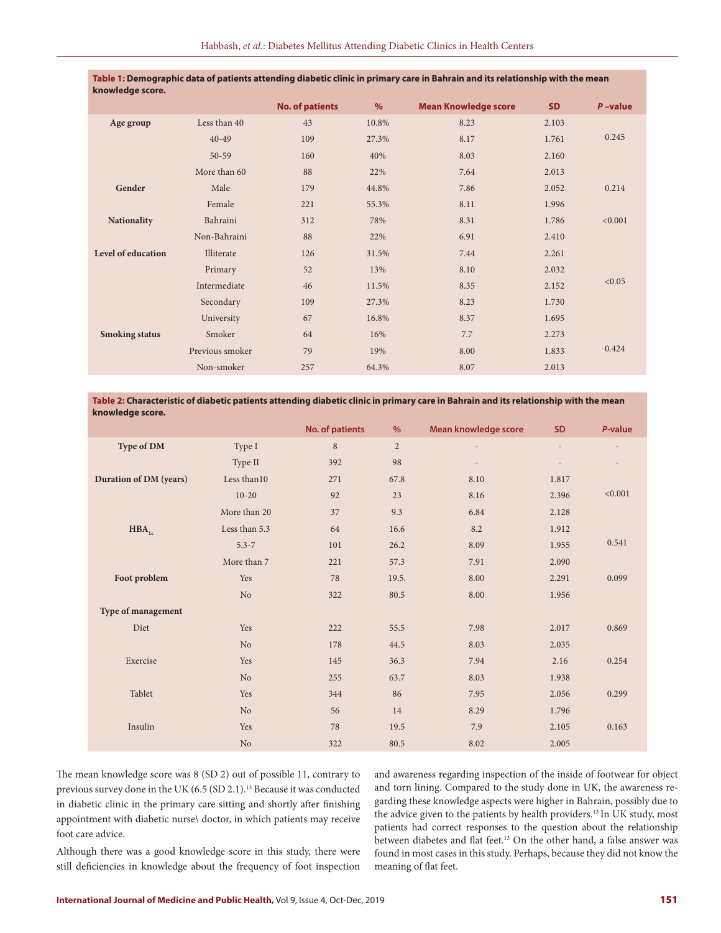| knowledge score.      |                 |                        |       |                             |           |            |
|-----------------------|-----------------|------------------------|-------|-----------------------------|-----------|------------|
|                       |                 | <b>No. of patients</b> | $\%$  | <b>Mean Knowledge score</b> | <b>SD</b> | $P$ -value |
| Age group             | Less than 40    | 43                     | 10.8% | 8.23                        | 2.103     |            |
|                       | $40 - 49$       | 109                    | 27.3% | 8.17                        | 1.761     | 0.245      |
|                       | $50 - 59$       | 160                    | 40%   | 8.03                        | 2.160     |            |
|                       | More than 60    | 88                     | 22%   | 7.64                        | 2.013     |            |
| Gender                | Male            | 179                    | 44.8% | 7.86                        | 2.052     | 0.214      |
|                       | Female          | 221                    | 55.3% | 8.11                        | 1.996     |            |
| <b>Nationality</b>    | Bahraini        | 312                    | 78%   | 8.31                        | 1.786     | < 0.001    |
|                       | Non-Bahraini    | 88                     | 22%   | 6.91                        | 2.410     |            |
| Level of education    | Illiterate      | 126                    | 31.5% | 7.44                        | 2.261     |            |
|                       | Primary         | 52                     | 13%   | 8.10                        | 2.032     |            |
|                       | Intermediate    | 46                     | 11.5% | 8.35                        | 2.152     | < 0.05     |
|                       | Secondary       | 109                    | 27.3% | 8.23                        | 1.730     |            |
|                       | University      | 67                     | 16.8% | 8.37                        | 1.695     |            |
| <b>Smoking status</b> | Smoker          | 64                     | 16%   | 7.7                         | 2.273     |            |
|                       | Previous smoker | 79                     | 19%   | 8.00                        | 1.833     | 0.424      |
|                       | Non-smoker      | 257                    | 64.3% | 8.07                        | 2.013     |            |
|                       |                 |                        |       |                             |           |            |

**Table 1: Demographic data of patients attending diabetic clinic in primary care in Bahrain and its relationship with the mean** 

#### **Table 2: Characteristic of diabetic patients attending diabetic clinic in primary care in Bahrain and its relationship with the mean knowledge score.**

|                        |                | No. of patients | $\%$           | <b>Mean knowledge score</b> | <b>SD</b>                | P-value                  |
|------------------------|----------------|-----------------|----------------|-----------------------------|--------------------------|--------------------------|
| Type of DM             | Type I         | $\,8\,$         | $\overline{2}$ | $\overline{\phantom{0}}$    | $\overline{\phantom{a}}$ |                          |
|                        | Type II        | 392             | 98             | $\overline{\phantom{0}}$    |                          | $\overline{\phantom{a}}$ |
| Duration of DM (years) | Less than 10   | 271             | 67.8           | 8.10                        | 1.817                    |                          |
|                        | $10 - 20$      | 92              | 23             | 8.16                        | 2.396                    | < 0.001                  |
|                        | More than 20   | 37              | 9.3            | 6.84                        | 2.128                    |                          |
| $HBA$ <sub>1c</sub>    | Less than 5.3  | 64              | 16.6           | 8.2                         | 1.912                    |                          |
|                        | $5.3 - 7$      | 101             | 26.2           | 8.09                        | 1.955                    | 0.541                    |
|                        | More than 7    | 221             | 57.3           | 7.91                        | 2.090                    |                          |
| Foot problem           | Yes            | 78              | 19.5.          | 8.00                        | 2.291                    | 0.099                    |
|                        | No.            | 322             | 80.5           | 8.00                        | 1.956                    |                          |
| Type of management     |                |                 |                |                             |                          |                          |
| Diet                   | Yes            | 222             | 55.5           | 7.98                        | 2.017                    | 0.869                    |
|                        | N <sub>o</sub> | 178             | 44.5           | 8.03                        | 2.035                    |                          |
| Exercise               | Yes            | 145             | 36.3           | 7.94                        | 2.16                     | 0.254                    |
|                        | N <sub>o</sub> | 255             | 63.7           | 8.03                        | 1.938                    |                          |
| Tablet                 | Yes            | 344             | 86             | 7.95                        | 2.056                    | 0.299                    |
|                        | N <sub>o</sub> | 56              | 14             | 8.29                        | 1.796                    |                          |
| Insulin                | Yes            | 78              | 19.5           | 7.9                         | 2.105                    | 0.163                    |
|                        | N <sub>o</sub> | 322             | 80.5           | 8.02                        | 2.005                    |                          |

The mean knowledge score was 8 (SD 2) out of possible 11, contrary to previous survey done in the UK (6.5 (SD 2.1).13 Because it was conducted in diabetic clinic in the primary care sitting and shortly after finishing appointment with diabetic nurse\ doctor, in which patients may receive foot care advice.

Although there was a good knowledge score in this study, there were still deficiencies in knowledge about the frequency of foot inspection

and awareness regarding inspection of the inside of footwear for object and torn lining. Compared to the study done in UK, the awareness regarding these knowledge aspects were higher in Bahrain, possibly due to the advice given to the patients by health providers.<sup>13</sup> In UK study, most patients had correct responses to the question about the relationship between diabetes and flat feet.13 On the other hand, a false answer was found in most cases in this study. Perhaps, because they did not know the meaning of flat feet.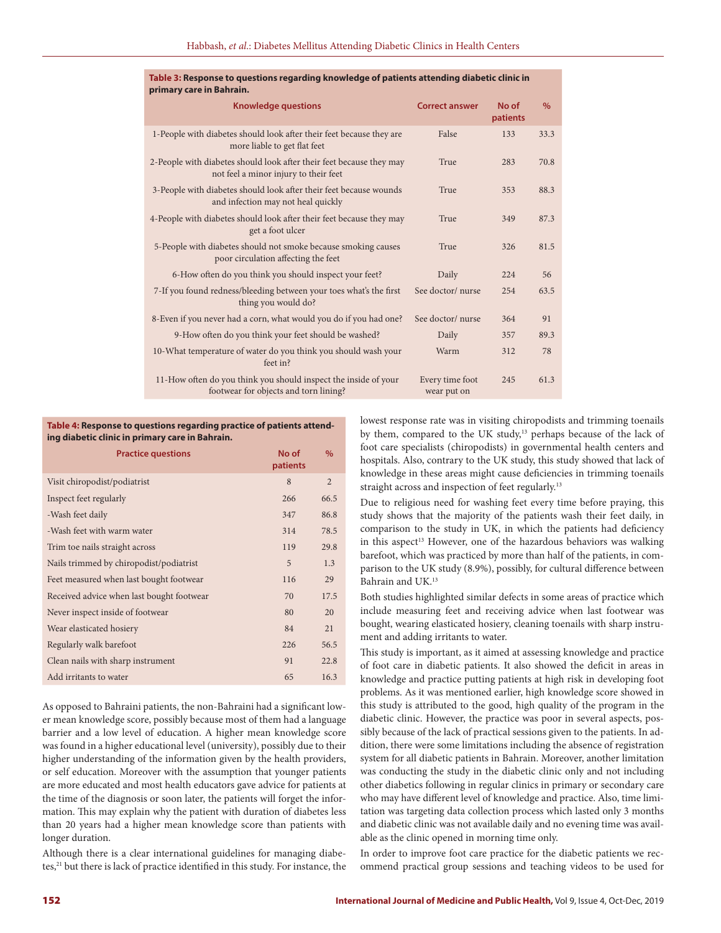| primary care in Bahrain.                                                                                      |                                |                   |      |
|---------------------------------------------------------------------------------------------------------------|--------------------------------|-------------------|------|
| <b>Knowledge questions</b>                                                                                    | <b>Correct answer</b>          | No of<br>patients | $\%$ |
| 1-People with diabetes should look after their feet because they are<br>more liable to get flat feet          | False                          | 133               | 33.3 |
| 2-People with diabetes should look after their feet because they may<br>not feel a minor injury to their feet | True                           | 283               | 70.8 |
| 3-People with diabetes should look after their feet because wounds<br>and infection may not heal quickly      | True                           | 353               | 88.3 |
| 4-People with diabetes should look after their feet because they may<br>get a foot ulcer                      | True                           | 349               | 87.3 |
| 5-People with diabetes should not smoke because smoking causes<br>poor circulation affecting the feet         | True                           | 326               | 81.5 |
| 6-How often do you think you should inspect your feet?                                                        | Daily                          | 224               | 56   |
| 7-If you found redness/bleeding between your toes what's the first<br>thing you would do?                     | See doctor/nurse               | 254               | 63.5 |
| 8-Even if you never had a corn, what would you do if you had one?                                             | See doctor/nurse               | 364               | 91   |
| 9-How often do you think your feet should be washed?                                                          | Daily                          | 357               | 89.3 |
| 10-What temperature of water do you think you should wash your<br>feet in?                                    | Warm                           | 312               | 78   |
| 11-How often do you think you should inspect the inside of your<br>footwear for objects and torn lining?      | Every time foot<br>wear put on | 245               | 61.3 |

# **Table 3: Response to questions regarding knowledge of patients attending diabetic clinic in**

#### **Table 4: Response to questions regarding practice of patients attending diabetic clinic in primary care in Bahrain.**

| <b>Practice questions</b>                 | No of<br>patients | $\%$           |
|-------------------------------------------|-------------------|----------------|
| Visit chiropodist/podiatrist              | 8                 | $\overline{2}$ |
| Inspect feet regularly                    | 266               | 66.5           |
| -Wash feet daily                          | 347               | 86.8           |
| -Wash feet with warm water                | 314               | 78.5           |
| Trim toe nails straight across            | 119               | 29.8           |
| Nails trimmed by chiropodist/podiatrist   | 5                 | 1.3            |
| Feet measured when last bought footwear   | 116               | 29             |
| Received advice when last bought footwear | 70                | 17.5           |
| Never inspect inside of footwear          | 80                | 20             |
| Wear elasticated hosiery                  | 84                | 21             |
| Regularly walk barefoot                   | 226               | 56.5           |
| Clean nails with sharp instrument         | 91                | 22.8           |
| Add irritants to water                    | 65                | 16.3           |

As opposed to Bahraini patients, the non-Bahraini had a significant lower mean knowledge score, possibly because most of them had a language barrier and a low level of education. A higher mean knowledge score was found in a higher educational level (university), possibly due to their higher understanding of the information given by the health providers, or self education. Moreover with the assumption that younger patients are more educated and most health educators gave advice for patients at the time of the diagnosis or soon later, the patients will forget the information. This may explain why the patient with duration of diabetes less than 20 years had a higher mean knowledge score than patients with longer duration.

Although there is a clear international guidelines for managing diabetes,<sup>21</sup> but there is lack of practice identified in this study. For instance, the lowest response rate was in visiting chiropodists and trimming toenails by them, compared to the UK study,<sup>13</sup> perhaps because of the lack of foot care specialists (chiropodists) in governmental health centers and hospitals. Also, contrary to the UK study, this study showed that lack of knowledge in these areas might cause deficiencies in trimming toenails straight across and inspection of feet regularly.<sup>13</sup>

Due to religious need for washing feet every time before praying, this study shows that the majority of the patients wash their feet daily, in comparison to the study in UK, in which the patients had deficiency in this aspect<sup>13</sup> However, one of the hazardous behaviors was walking barefoot, which was practiced by more than half of the patients, in comparison to the UK study (8.9%), possibly, for cultural difference between Bahrain and UK.13

Both studies highlighted similar defects in some areas of practice which include measuring feet and receiving advice when last footwear was bought, wearing elasticated hosiery, cleaning toenails with sharp instrument and adding irritants to water.

This study is important, as it aimed at assessing knowledge and practice of foot care in diabetic patients. It also showed the deficit in areas in knowledge and practice putting patients at high risk in developing foot problems. As it was mentioned earlier, high knowledge score showed in this study is attributed to the good, high quality of the program in the diabetic clinic. However, the practice was poor in several aspects, possibly because of the lack of practical sessions given to the patients. In addition, there were some limitations including the absence of registration system for all diabetic patients in Bahrain. Moreover, another limitation was conducting the study in the diabetic clinic only and not including other diabetics following in regular clinics in primary or secondary care who may have different level of knowledge and practice. Also, time limitation was targeting data collection process which lasted only 3 months and diabetic clinic was not available daily and no evening time was available as the clinic opened in morning time only.

In order to improve foot care practice for the diabetic patients we recommend practical group sessions and teaching videos to be used for